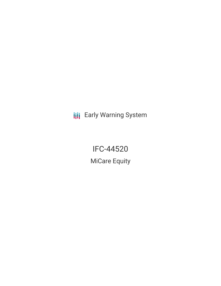**III** Early Warning System

IFC-44520 MiCare Equity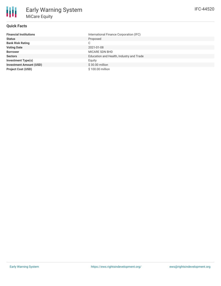### **Quick Facts**

朋

| <b>Financial Institutions</b>  | International Finance Corporation (IFC)  |
|--------------------------------|------------------------------------------|
| <b>Status</b>                  | Proposed                                 |
| <b>Bank Risk Rating</b>        | C                                        |
| <b>Voting Date</b>             | 2021-01-08                               |
| <b>Borrower</b>                | MICARE SDN BHD                           |
| <b>Sectors</b>                 | Education and Health, Industry and Trade |
| <b>Investment Type(s)</b>      | Equity                                   |
| <b>Investment Amount (USD)</b> | $$30.00$ million                         |
| <b>Project Cost (USD)</b>      | \$100.00 million                         |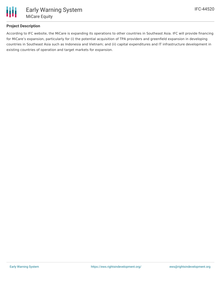

## **Project Description**

According to IFC website, the MiCare is expanding its operations to other countries in Southeast Asia. IFC will provide financing for MiCare's expansion, particularly for (i) the potential acquisition of TPA providers and greenfield expansion in developing countries in Southeast Asia such as Indonesia and Vietnam; and (ii) capital expenditures and IT infrastructure development in existing countries of operation and target markets for expansion.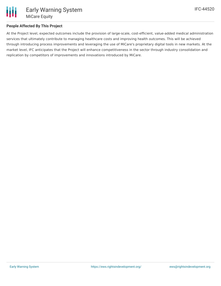

## **People Affected By This Project**

At the Project level, expected outcomes include the provision of large-scale, cost-efficient, value-added medical administration services that ultimately contribute to managing healthcare costs and improving health outcomes. This will be achieved through introducing process improvements and leveraging the use of MiCare's proprietary digital tools in new markets. At the market level, IFC anticipates that the Project will enhance competitiveness in the sector through industry consolidation and replication by competitors of improvements and innovations introduced by MiCare.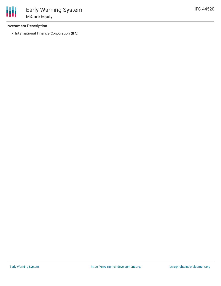### **Investment Description**

• International Finance Corporation (IFC)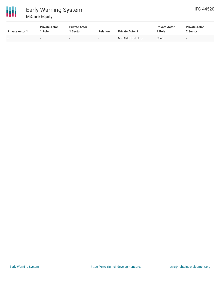

| <b>Private Actor 1</b> | <b>Private Actor</b><br>' Role | <b>Private Actor</b><br>1 Sector | <b>Relation</b> | <b>Private Actor 2</b> | <b>Private Actor</b><br>2 Role | <b>Private Actor</b><br>2 Sector |
|------------------------|--------------------------------|----------------------------------|-----------------|------------------------|--------------------------------|----------------------------------|
| . .                    | $\sim$                         | $\sim$                           |                 | MICARE SDN BHD         | Client                         | $\overline{\phantom{a}}$         |